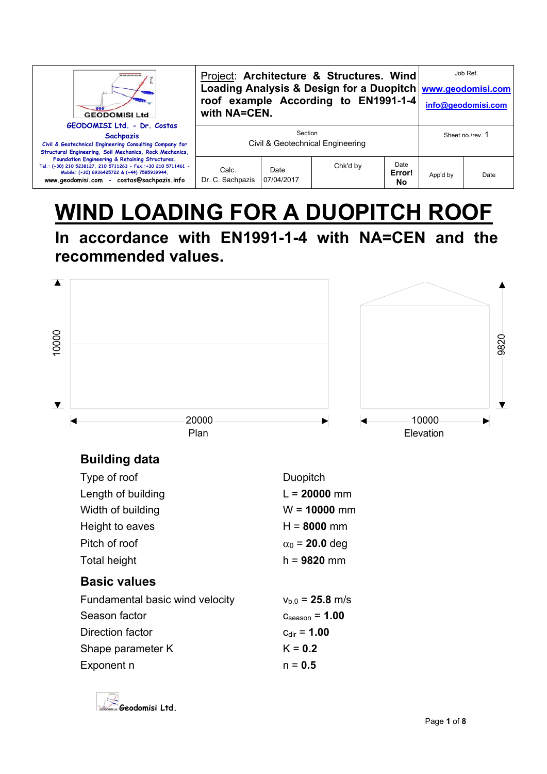| <br><b>GEODOMISI Ltd</b>                                                                                                                                                                                     | with NA=CEN.              |                    | Project: Architecture & Structures. Wind<br>roof example According to EN1991-1-4 |                      | Job Ref.<br>Loading Analysis & Design for a Duopitch www.geodomisi.com<br>info@geodomisi.com |                  |
|--------------------------------------------------------------------------------------------------------------------------------------------------------------------------------------------------------------|---------------------------|--------------------|----------------------------------------------------------------------------------|----------------------|----------------------------------------------------------------------------------------------|------------------|
| GEODOMISI Ltd. - Dr. Costas<br><b>Sachpazis</b><br>Civil & Geotechnical Engineering Consulting Company for<br>Structural Engineering, Soil Mechanics, Rock Mechanics,                                        |                           | Section            | Civil & Geotechnical Engineering                                                 |                      |                                                                                              | Sheet no./rev. 1 |
| Foundation Engineering & Retaining Structures.<br>Tel.: (+30) 210 5238127, 210 5711263 - Fax.:+30 210 5711461 -<br>Mobile: (+30) 6936425722 & (+44) 7585939944,<br>www.geodomisi.com - costas@sachpazis.info | Calc.<br>Dr. C. Sachpazis | Date<br>07/04/2017 | Chk'd by                                                                         | Date<br>Error!<br>No | App'd by                                                                                     | Date             |

# **WIND LOADING FOR A DUOPITCH ROOF In accordance with EN1991-1-4 with NA=CEN and the**

**recommended values.** 



# **Building data**

| Type of roof                    | Duopitch                   |
|---------------------------------|----------------------------|
| Length of building              | $L = 20000$ mm             |
| Width of building               | $W = 10000$ mm             |
| Height to eaves                 | $H = 8000$ mm              |
| Pitch of roof                   | $\alpha_0$ = 20.0 deg      |
| Total height                    | $h = 9820$ mm              |
|                                 |                            |
| <b>Basic values</b>             |                            |
| Fundamental basic wind velocity | $v_{b.0}$ = 25.8 m/s       |
| Season factor                   | $c_{\text{season}} = 1.00$ |
| Direction factor                | $C_{\rm dir} = 1.00$       |
| Shape parameter K               | $K = 0.2$                  |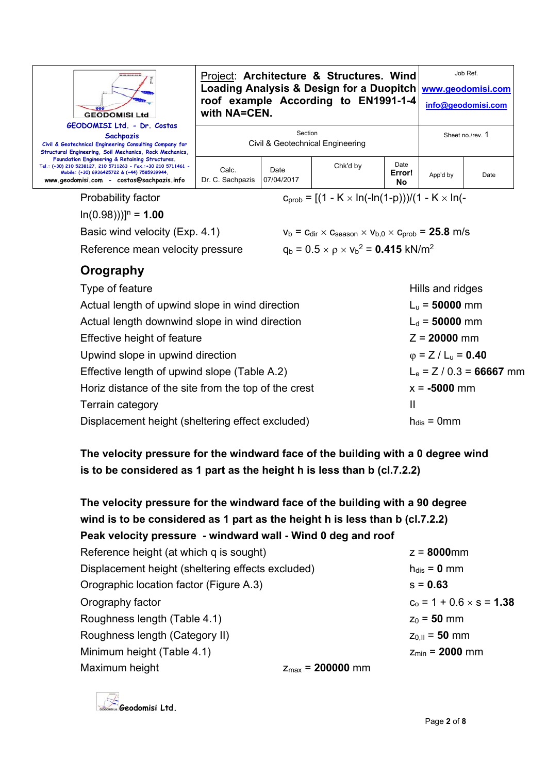| <b>GEODOMISI Ltd</b><br>GEODOMISI Ltd. - Dr. Costas                                                                                                                                                          | with NA=CEN.                                |                    | Project: Architecture & Structures. Wind<br>roof example According to EN1991-1-4 |                      | Job Ref.<br>Loading Analysis & Design for a Duopitch www.geodomisi.com<br>info@geodomisi.com |      |
|--------------------------------------------------------------------------------------------------------------------------------------------------------------------------------------------------------------|---------------------------------------------|--------------------|----------------------------------------------------------------------------------|----------------------|----------------------------------------------------------------------------------------------|------|
| <b>Sachpazis</b><br>Civil & Geotechnical Engineering Consulting Company for<br>Structural Engineering, Soil Mechanics, Rock Mechanics,                                                                       | Section<br>Civil & Geotechnical Engineering |                    |                                                                                  |                      | Sheet no /rev 1                                                                              |      |
| Foundation Engineering & Retaining Structures.<br>Tel.: (+30) 210 5238127, 210 5711263 - Fax.:+30 210 5711461 -<br>Mobile: (+30) 6936425722 & (+44) 7585939944,<br>www.geodomisi.com - costas@sachpazis.info | Calc.<br>Dr. C. Sachpazis                   | Date<br>07/04/2017 | Chk'd by                                                                         | Date<br>Error!<br>No | App'd by                                                                                     | Date |
| Probability factor                                                                                                                                                                                           |                                             |                    | $c_{\text{prob}} = [(1 - K \times ln(-ln(1-p)))/(1 - K \times ln(-1))]$          |                      |                                                                                              |      |

 $ln(0.98))$ ]<sup>n</sup> = **1.00** 

Basic wind velocity (Exp. 4.1)  $v_b = c_{dir} \times c_{season} \times v_{b,0} \times c_{prob} = 25.8$  m/s

Reference mean velocity pressure

 $q_b = 0.5 \times \rho \times v_b^2 = 0.415 \text{ kN/m}^2$ 

## **Orography**

| Type of feature                                      | Hills and ridges                      |
|------------------------------------------------------|---------------------------------------|
| Actual length of upwind slope in wind direction      | $L_u = 50000$ mm                      |
| Actual length downwind slope in wind direction       | $L_d = 50000$ mm                      |
| Effective height of feature                          | $Z = 20000$ mm                        |
| Upwind slope in upwind direction                     | $\varphi$ = Z / L <sub>u</sub> = 0.40 |
| Effective length of upwind slope (Table A.2)         | $L_e = Z / 0.3 = 66667$ mm            |
| Horiz distance of the site from the top of the crest | $x = -5000$ mm                        |
| Terrain category                                     | Ш                                     |
| Displacement height (sheltering effect excluded)     | $h_{dis} = 0$ mm                      |

**The velocity pressure for the windward face of the building with a 0 degree wind is to be considered as 1 part as the height h is less than b (cl.7.2.2)** 

| The velocity pressure for the windward face of the building with a 90 degree<br>wind is to be considered as 1 part as the height h is less than b (cl.7.2.2) |                              |                                 |
|--------------------------------------------------------------------------------------------------------------------------------------------------------------|------------------------------|---------------------------------|
| Peak velocity pressure - windward wall - Wind 0 deg and roof                                                                                                 |                              |                                 |
| Reference height (at which q is sought)                                                                                                                      |                              | $z = 8000$ mm                   |
| Displacement height (sheltering effects excluded)                                                                                                            |                              | $h_{dis} = 0$ mm                |
| Orographic location factor (Figure A.3)                                                                                                                      |                              | $s = 0.63$                      |
| Orography factor                                                                                                                                             |                              | $c_0 = 1 + 0.6 \times s = 1.38$ |
| Roughness length (Table 4.1)                                                                                                                                 |                              | $z_0 = 50$ mm                   |
| Roughness length (Category II)                                                                                                                               |                              | $Z_{0,II} = 50$ mm              |
| Minimum height (Table 4.1)                                                                                                                                   |                              | $Z_{min} = 2000$ mm             |
| Maximum height                                                                                                                                               | $z_{\text{max}} = 200000$ mm |                                 |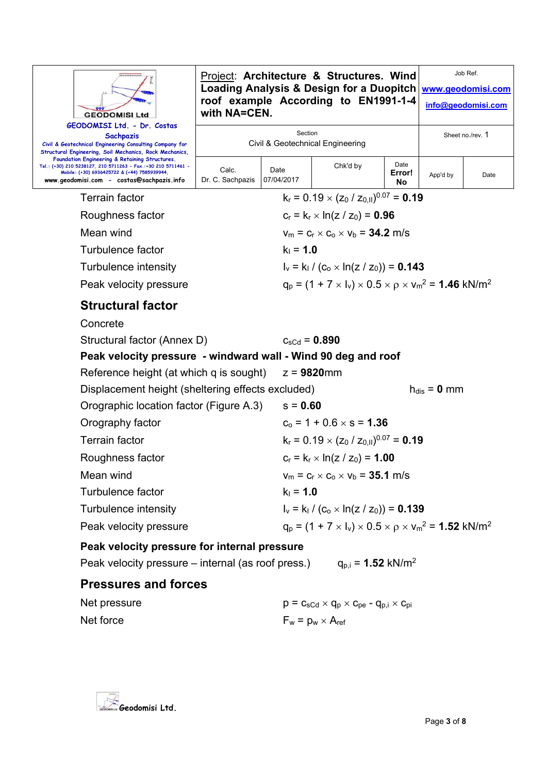| <b>GEODOMISI Ltd</b>                                                                                                                                                                                         | with NA=CEN.              |                    | Project: Architecture & Structures. Wind<br><b>Loading Analysis &amp; Design for a Duopitch</b><br>roof example According to EN1991-1-4 |                      |                  | Job Ref.<br>www.geodomisi.com<br>info@geodomisi.com |  |  |
|--------------------------------------------------------------------------------------------------------------------------------------------------------------------------------------------------------------|---------------------------|--------------------|-----------------------------------------------------------------------------------------------------------------------------------------|----------------------|------------------|-----------------------------------------------------|--|--|
| GEODOMISI Ltd. - Dr. Costas<br>Sachpazis<br>Civil & Geotechnical Engineering Consulting Company for<br>Structural Engineering, Soil Mechanics, Rock Mechanics,                                               |                           | Section            | Civil & Geotechnical Engineering                                                                                                        |                      | Sheet no./rev. 1 |                                                     |  |  |
| Foundation Engineering & Retaining Structures.<br>Tel.: (+30) 210 5238127, 210 5711263 - Fax.:+30 210 5711461 -<br>Mobile: (+30) 6936425722 & (+44) 7585939944,<br>www.geodomisi.com - costas@sachpazis.info | Calc.<br>Dr. C. Sachpazis | Date<br>07/04/2017 | Chk'd by                                                                                                                                | Date<br>Error!<br>No | App'd by         | Date                                                |  |  |
| <b>Terrain factor</b>                                                                                                                                                                                        |                           |                    | $k_r = 0.19 \times (z_0 / z_{0,II})^{0.07} = 0.19$                                                                                      |                      |                  |                                                     |  |  |
| Roughness factor                                                                                                                                                                                             |                           |                    | $c_r = k_r \times ln(z / z_0) = 0.96$                                                                                                   |                      |                  |                                                     |  |  |
| Mean wind                                                                                                                                                                                                    |                           |                    | $v_m = c_r \times c_o \times v_b = 34.2$ m/s                                                                                            |                      |                  |                                                     |  |  |
| Turbulence factor                                                                                                                                                                                            |                           | $k_1 = 1.0$        |                                                                                                                                         |                      |                  |                                                     |  |  |
| Turbulence intensity                                                                                                                                                                                         |                           |                    | $I_v = k_1 / (c_o \times ln(z / z_0)) = 0.143$                                                                                          |                      |                  |                                                     |  |  |
| Peak velocity pressure                                                                                                                                                                                       |                           |                    | $q_p = (1 + 7 \times I_v) \times 0.5 \times p \times V_m^2 = 1.46$ kN/m <sup>2</sup>                                                    |                      |                  |                                                     |  |  |
| <b>Structural factor</b>                                                                                                                                                                                     |                           |                    |                                                                                                                                         |                      |                  |                                                     |  |  |
| Concrete                                                                                                                                                                                                     |                           |                    |                                                                                                                                         |                      |                  |                                                     |  |  |
| Structural factor (Annex D)                                                                                                                                                                                  |                           |                    | $c_{\rm sCd} = 0.890$                                                                                                                   |                      |                  |                                                     |  |  |
|                                                                                                                                                                                                              |                           |                    | Peak velocity pressure - windward wall - Wind 90 deg and roof                                                                           |                      |                  |                                                     |  |  |
| Reference height (at which q is sought)                                                                                                                                                                      |                           |                    | $z = 9820$ mm                                                                                                                           |                      |                  |                                                     |  |  |
| Displacement height (sheltering effects excluded)                                                                                                                                                            |                           |                    |                                                                                                                                         |                      | $h_{dis} = 0$ mm |                                                     |  |  |
| Orographic location factor (Figure A.3)                                                                                                                                                                      |                           |                    | $s = 0.60$                                                                                                                              |                      |                  |                                                     |  |  |
| Orography factor                                                                                                                                                                                             |                           |                    | $c_0 = 1 + 0.6 \times s = 1.36$                                                                                                         |                      |                  |                                                     |  |  |
| <b>Terrain factor</b>                                                                                                                                                                                        |                           |                    | $k_r = 0.19 \times (z_0 / z_{0,II})^{0.07} = 0.19$                                                                                      |                      |                  |                                                     |  |  |
| Roughness factor                                                                                                                                                                                             |                           |                    | $c_r = k_r \times ln(z / z_0) = 1.00$                                                                                                   |                      |                  |                                                     |  |  |
| Mean wind                                                                                                                                                                                                    |                           |                    | $v_m = c_r \times c_o \times v_b = 35.1$ m/s                                                                                            |                      |                  |                                                     |  |  |
| <b>Turbulence factor</b>                                                                                                                                                                                     |                           | $k_1 = 1.0$        |                                                                                                                                         |                      |                  |                                                     |  |  |
| Turbulence intensity                                                                                                                                                                                         |                           |                    | $I_v = k_1 / (c_0 \times ln(z / z_0)) = 0.139$                                                                                          |                      |                  |                                                     |  |  |
| Peak velocity pressure                                                                                                                                                                                       |                           |                    | $q_p = (1 + 7 \times I_v) \times 0.5 \times \rho \times v_m^2 = 1.52 \text{ kN/m}^2$                                                    |                      |                  |                                                     |  |  |
| Peak velocity pressure for internal pressure                                                                                                                                                                 |                           |                    |                                                                                                                                         |                      |                  |                                                     |  |  |
| Peak velocity pressure – internal (as roof press.)                                                                                                                                                           |                           |                    | $q_{\rm p,i} = 1.52 \text{ kN/m}^2$                                                                                                     |                      |                  |                                                     |  |  |
| <b>Pressures and forces</b>                                                                                                                                                                                  |                           |                    |                                                                                                                                         |                      |                  |                                                     |  |  |
| Net pressure                                                                                                                                                                                                 |                           |                    | $p = c_{sCd} \times q_p \times c_{pe} - q_{p,i} \times c_{pi}$                                                                          |                      |                  |                                                     |  |  |
| Net force                                                                                                                                                                                                    |                           |                    | $F_w = p_w \times A_{ref}$                                                                                                              |                      |                  |                                                     |  |  |

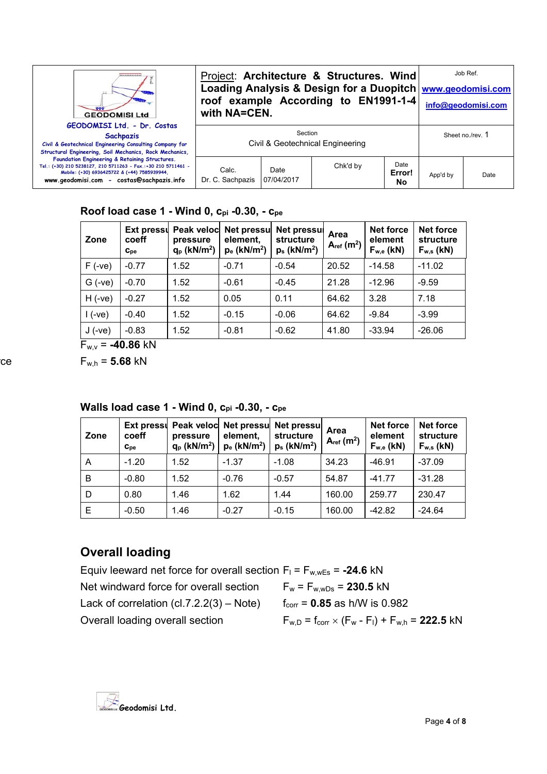| ****************<br><b>GEODOMISI Ltd</b>                                                                                                                                                                     | with NA=CEN.              |                    | Project: Architecture & Structures. Wind<br>roof example According to EN1991-1-4 |                      | Job Ref.<br>Loading Analysis & Design for a Duopitch   www.geodomisi.com<br>info@geodomisi.com |                  |
|--------------------------------------------------------------------------------------------------------------------------------------------------------------------------------------------------------------|---------------------------|--------------------|----------------------------------------------------------------------------------|----------------------|------------------------------------------------------------------------------------------------|------------------|
| GEODOMISI Ltd. - Dr. Costas<br><b>Sachpazis</b><br>Civil & Geotechnical Engineering Consulting Company for<br>Structural Engineering, Soil Mechanics, Rock Mechanics,                                        |                           | Section            | Civil & Geotechnical Engineering                                                 |                      |                                                                                                | Sheet no./rev. 1 |
| Foundation Engineering & Retaining Structures.<br>Tel.: (+30) 210 5238127, 210 5711263 - Fax.:+30 210 5711461 -<br>Mobile: (+30) 6936425722 & (+44) 7585939944,<br>www.geodomisi.com - costas@sachpazis.info | Calc.<br>Dr. C. Sachpazis | Date<br>07/04/2017 | Chk'd by                                                                         | Date<br>Error!<br>No | App'd by                                                                                       | Date             |

#### **Roof load case 1 - Wind 0, cpi -0.30, - cpe**

| Zone     | coeff<br>$C_{\rm pe}$ | pressure<br>$q_p$ (kN/m <sup>2</sup> ) | Ext pressul Peak veloc Net pressul<br>element,<br>$p_e$ (kN/m <sup>2</sup> ) | <b>Net pressul</b><br>structure<br>$p_s$ (kN/m <sup>2</sup> ) | Area<br>$A_{ref}(m^2)$ | Net force<br>element<br>$F_{w,e}$ (kN) | <b>Net force</b><br>structure<br>$F_{w,s}$ (kN) |
|----------|-----------------------|----------------------------------------|------------------------------------------------------------------------------|---------------------------------------------------------------|------------------------|----------------------------------------|-------------------------------------------------|
| $F(-ve)$ | $-0.77$               | 1.52                                   | $-0.71$                                                                      | $-0.54$                                                       | 20.52                  | $-14.58$                               | $-11.02$                                        |
| $G(-ve)$ | $-0.70$               | 1.52                                   | $-0.61$                                                                      | $-0.45$                                                       | 21.28                  | $-12.96$                               | $-9.59$                                         |
| $H(-ve)$ | $-0.27$               | 1.52                                   | 0.05                                                                         | 0.11                                                          | 64.62                  | 3.28                                   | 7.18                                            |
| l (-ve)  | $-0.40$               | 1.52                                   | $-0.15$                                                                      | $-0.06$                                                       | 64.62                  | $-9.84$                                | $-3.99$                                         |
| $J(-ve)$ | $-0.83$               | 1.52                                   | $-0.81$                                                                      | $-0.62$                                                       | 41.80                  | $-33.94$                               | $-26.06$                                        |

 $F_{W,V}$  = **-40.86** kN

 $r_{w,h} = 5.68$  kN

| Zone | coeff<br>$C_{\rm De}$ | pressure<br>$q_p$ (kN/m <sup>2</sup> ) | element,<br>$p_e$ (kN/m <sup>2</sup> ) | Ext pressul Peak veloc Net pressul Net pressul<br>structure<br>$p_s$ (kN/m <sup>2</sup> ) | Area<br>$A_{ref}(m^2)$ | <b>Net force</b><br>element<br>$F_{w,e}$ (kN) | <b>Net force</b><br>structure<br>$F_{w,s}$ (kN) |
|------|-----------------------|----------------------------------------|----------------------------------------|-------------------------------------------------------------------------------------------|------------------------|-----------------------------------------------|-------------------------------------------------|
| A    | $-1.20$               | 1.52                                   | $-1.37$                                | $-1.08$                                                                                   | 34.23                  | $-46.91$                                      | $-37.09$                                        |
| B    | $-0.80$               | 1.52                                   | $-0.76$                                | $-0.57$                                                                                   | 54.87                  | $-41.77$                                      | $-31.28$                                        |
| D    | 0.80                  | 1.46                                   | 1.62                                   | 1.44                                                                                      | 160.00                 | 259.77                                        | 230.47                                          |
| Ε    | $-0.50$               | 1.46                                   | $-0.27$                                | $-0.15$                                                                                   | 160.00                 | -42.82                                        | $-24.64$                                        |

### Walls load case 1 - Wind 0, Cpi -0.30, - Cpe

## **Overall loading**

Equiv leeward net force for overall section  $F_1 = F_{w,wEs} = -24.6$  kN Net windward force for overall section  $F_w = F_{w, wDs} = 230.5$  kN Lack of correlation  $(cl.7.2.2(3) - Note)$   $f_{corr} = 0.85$  as h/W is 0.982 Overall loading overall section  $F_{w,D} = f_{corr} \times (F_w - F_l) + F_{w,h} = 222.5 kN$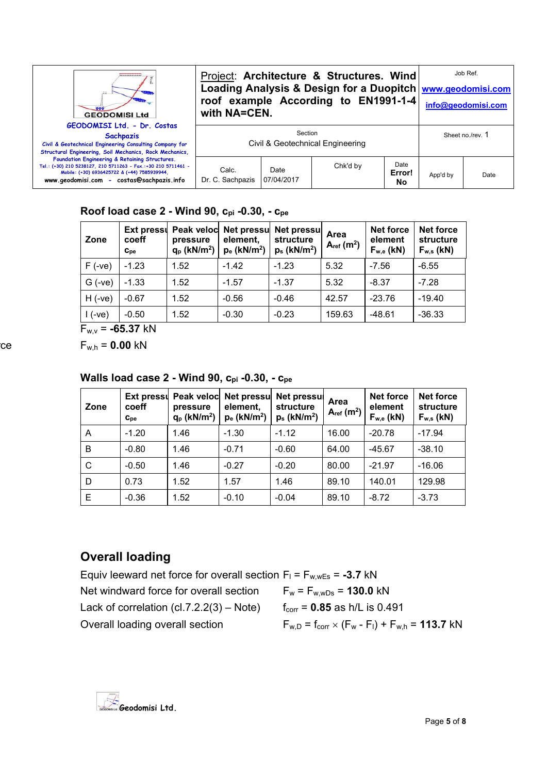| *************<br><b>GEODOMISI Ltd</b>                                                                                                                                                                        | with NA=CEN.              |                    | Project: Architecture & Structures. Wind<br>roof example According to EN1991-1-4 |                      | Job Ref.<br>Loading Analysis & Design for a Duopitch   www.geodomisi.com<br>info@geodomisi.com |                  |
|--------------------------------------------------------------------------------------------------------------------------------------------------------------------------------------------------------------|---------------------------|--------------------|----------------------------------------------------------------------------------|----------------------|------------------------------------------------------------------------------------------------|------------------|
| GEODOMISI Ltd. - Dr. Costas<br><b>Sachpazis</b><br>Civil & Geotechnical Engineering Consulting Company for<br>Structural Engineering, Soil Mechanics, Rock Mechanics,                                        |                           | Section            | Civil & Geotechnical Engineering                                                 |                      |                                                                                                | Sheet no./rev. 1 |
| Foundation Engineering & Retaining Structures.<br>Tel.: (+30) 210 5238127, 210 5711263 - Fax.:+30 210 5711461 -<br>Mobile: (+30) 6936425722 & (+44) 7585939944,<br>www.geodomisi.com - costas@sachpazis.info | Calc.<br>Dr. C. Sachpazis | Date<br>07/04/2017 | Chk'd by                                                                         | Date<br>Error!<br>No | App'd by                                                                                       | Date             |

#### **Roof load case 2 - Wind 90, cpi -0.30, - cpe**

| Zone     | coeff<br>$C_{\rm De}$ | pressure<br>$q_p$ (kN/m <sup>2</sup> ) | element,<br>$p_e$ (kN/m <sup>2</sup> ) | Ext pressul Peak veloc Net pressul Net pressul<br>structure<br>$p_s$ (kN/m <sup>2</sup> ) | Area<br>$A_{ref}$ (m <sup>2</sup> ) | <b>Net force</b><br>element<br>$F_{w,e}$ (kN) | <b>Net force</b><br>structure<br>$F_{w,s}$ (kN) |
|----------|-----------------------|----------------------------------------|----------------------------------------|-------------------------------------------------------------------------------------------|-------------------------------------|-----------------------------------------------|-------------------------------------------------|
| $F(-ve)$ | $-1.23$               | 1.52                                   | $-1.42$                                | $-1.23$                                                                                   | 5.32                                | $-7.56$                                       | $-6.55$                                         |
| $G(-ve)$ | $-1.33$               | 1.52                                   | $-1.57$                                | $-1.37$                                                                                   | 5.32                                | $-8.37$                                       | $-7.28$                                         |
| $H(-ve)$ | $-0.67$               | 1.52                                   | $-0.56$                                | $-0.46$                                                                                   | 42.57                               | $-23.76$                                      | $-19.40$                                        |
| $1(-ve)$ | $-0.50$               | 1.52                                   | $-0.30$                                | $-0.23$                                                                                   | 159.63                              | $-48.61$                                      | $-36.33$                                        |

 $F_{w,v}$  = **-65.37** kN

 $r_{w,h} = 0.00 \text{ kN}$ 

Walls load case 2 - Wind 90, Cpi -0.30, - Cpe

| Zone | Ext pressu<br>coeff<br>$C_{\rm De}$ | pressure<br>$q_p$ (kN/m <sup>2</sup> ) | Peak veloc Net pressu<br>element,<br>$p_e$ (kN/m <sup>2</sup> ) | <b>Net pressul</b><br>structure<br>$p_s$ (kN/m <sup>2</sup> ) | Area<br>$A_{ref}(m^2)$ | <b>Net force</b><br>element<br>$F_{w,e}$ (kN) | <b>Net force</b><br>structure<br>$F_{w,s}$ (kN) |
|------|-------------------------------------|----------------------------------------|-----------------------------------------------------------------|---------------------------------------------------------------|------------------------|-----------------------------------------------|-------------------------------------------------|
| A    | $-1.20$                             | 1.46                                   | $-1.30$                                                         | $-1.12$                                                       | 16.00                  | $-20.78$                                      | $-17.94$                                        |
| B    | $-0.80$                             | 1.46                                   | $-0.71$                                                         | $-0.60$                                                       | 64.00                  | $-45.67$                                      | $-38.10$                                        |
| C    | $-0.50$                             | 1.46                                   | $-0.27$                                                         | $-0.20$                                                       | 80.00                  | $-21.97$                                      | $-16.06$                                        |
| D    | 0.73                                | 1.52                                   | 1.57                                                            | 1.46                                                          | 89.10                  | 140.01                                        | 129.98                                          |
| Е    | $-0.36$                             | 1.52                                   | $-0.10$                                                         | $-0.04$                                                       | 89.10                  | $-8.72$                                       | $-3.73$                                         |

## **Overall loading**

Equiv leeward net force for overall section  $F_1 = F_{w, wEs} = -3.7$  kN Net windward force for overall section  $F_w = F_{w,wDs} = 130.0$  kN Lack of correlation (cl.7.2.2(3) – Note)  $f_{corr} = 0.85$  as  $h/L$  is 0.491 Overall loading overall section  $F_{w,D} = f_{corr} \times (F_w - F_l) + F_{w,h} = 113.7$  kN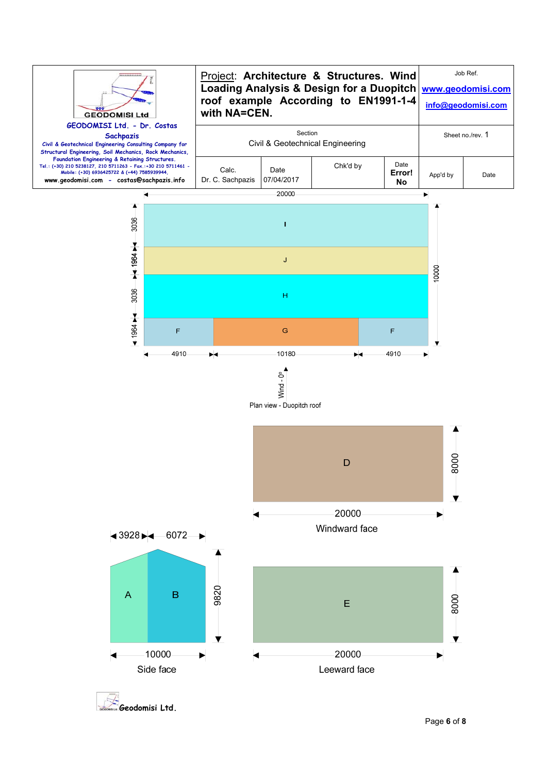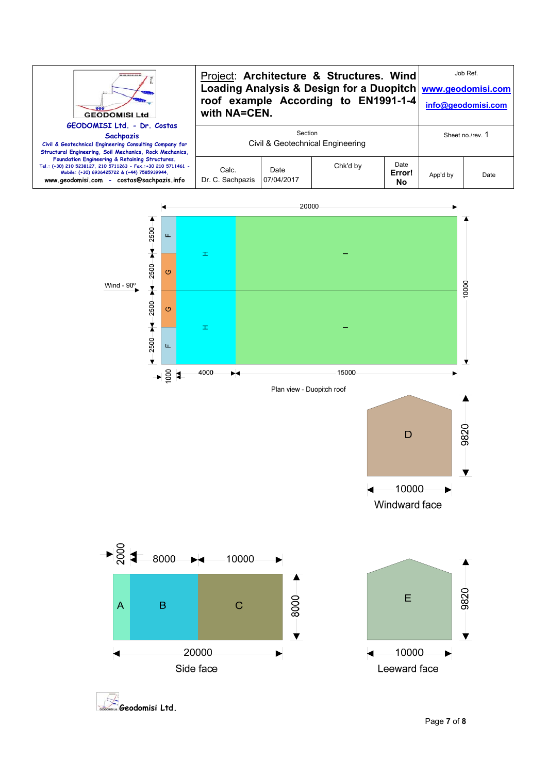![](_page_6_Figure_0.jpeg)